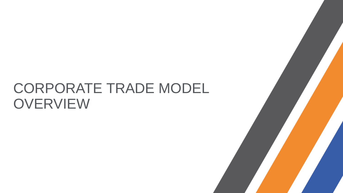# CORPORATE TRADE MODEL **OVERVIEW**

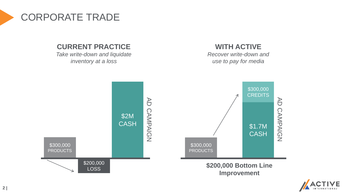

#### **CURRENT PRACTICE**

*Take write-down and liquidate inventory at a loss*

### **WITH ACTIVE**

*Recover write-down and use to pay for media*



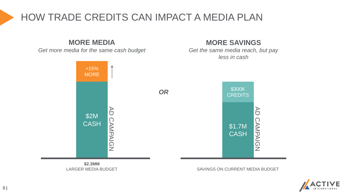# HOW TRADE CREDITS CAN IMPACT A MEDIA PLAN

### **MORE MEDIA**

*Get more media for the same cash budget*

### **MORE SAVINGS**

*Get the same media reach, but pay less in cash*



**\$2.3MM** LARGER MEDIA BUDGET

SAVINGS ON CURRENT MEDIA BUDGET

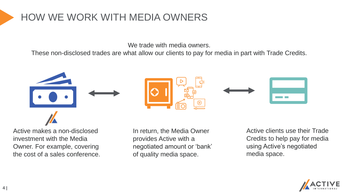# HOW WE WORK WITH MEDIA OWNERS

We trade with media owners.

These non-disclosed trades are what allow our clients to pay for media in part with Trade Credits.



Active makes a non-disclosed investment with the Media Owner. For example, covering the cost of a sales conference.

In return, the Media Owner provides Active with a negotiated amount or 'bank' of quality media space.

Active clients use their Trade Credits to help pay for media using Active's negotiated media space.